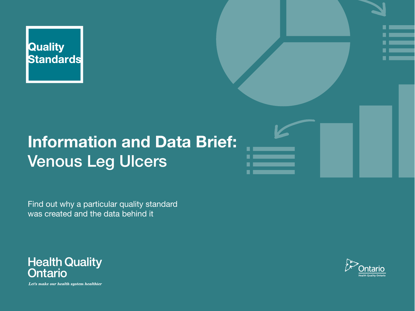

### **Information and Data Brief:** Venous Leg Ulcers

Find out why a particular quality standard was created and the data behind it



Let's make our health system healthier

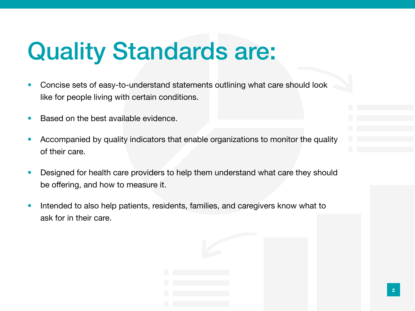## Quality Standards are:

- Concise sets of easy-to-understand statements outlining what care should look like for people living with certain conditions.
- Based on the best available evidence.
- Accompanied by quality indicators that enable organizations to monitor the quality of their care.
- Designed for health care providers to help them understand what care they should be offering, and how to measure it.
- Intended to also help patients, residents, families, and caregivers know what to ask for in their care.

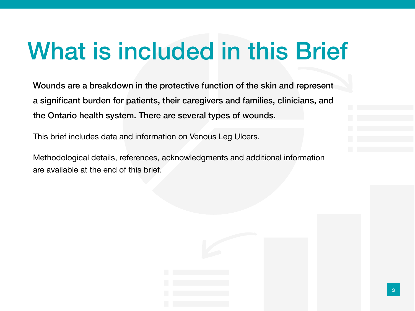# What is included in this Brief

Wounds are a breakdown in the protective function of the skin and represent a significant burden for patients, their caregivers and families, clinicians, and the Ontario health system. There are several types of wounds.

This brief includes data and information on Venous Leg Ulcers.

Methodological details, references, acknowledgments and additional information are available at the end of this brief.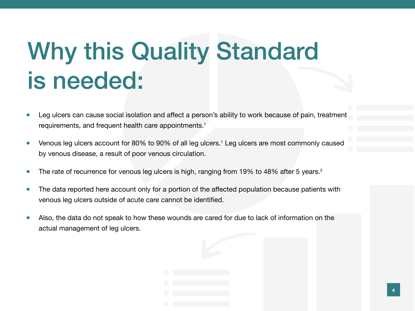# Why this Quality Standard is needed:

- Leg ulcers can cause social isolation and affect a person's ability to work because of pain, treatment requirements, and frequent health care appointments.<sup>1</sup>
- Venous leg ulcers account for 80% to 90% of all leg ulcers.<sup>1</sup> Leg ulcers are most commonly caused by venous disease, a result of poor venous circulation.
- The rate of recurrence for venous leg ulcers is high, ranging from 19% to 48% after 5 years.<sup>2</sup>
- The data reported here account only for a portion of the affected population because patients with venous leg ulcers outside of acute care cannot be identified.
- Also, the data do not speak to how these wounds are cared for due to lack of information on the actual management of leg ulcers.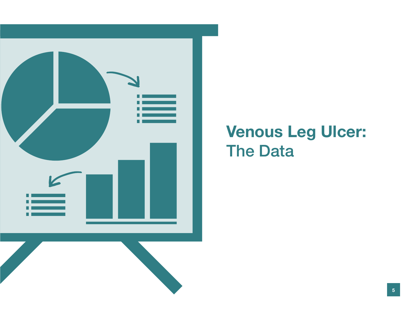

### Venous Leg Ulcer: **The Data**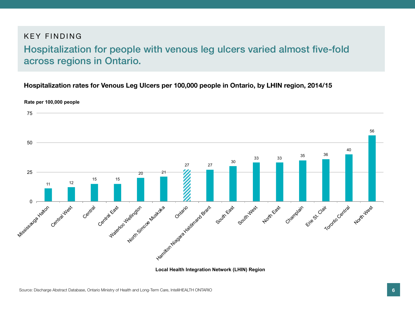#### KEY FINDING

#### Hospitalization for people with venous leg ulcers varied almost five-fold across regions in Ontario.

#### **Hospitalization rates for Venous Leg Ulcers per 100,000 people in Ontario, by LHIN region, 2014/15**



**Local Health Integration Network (LHIN) Region**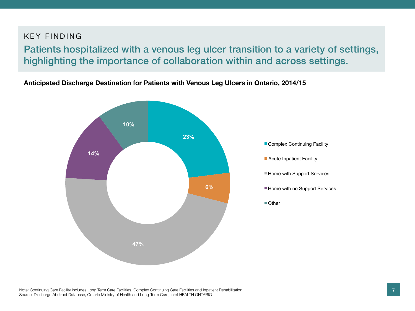#### KEY FINDING

Patients hospitalized with a venous leg ulcer transition to a variety of settings, highlighting the importance of collaboration within and across settings.

**Anticipated Discharge Destination for Patients with Venous Leg Ulcers in Ontario, 2014/15**

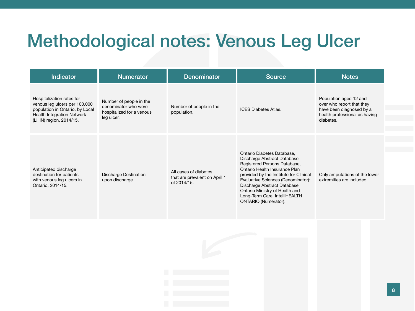## Methodological notes: Venous Leg Ulcer

| <b>Indicator</b>                                                                                                                                              | <b>Numerator</b>                                                                           | <b>Denominator</b>                                                    | <b>Source</b>                                                                                                                                                                                                                                                                                                                                 | <b>Notes</b>                                                                                                                  |
|---------------------------------------------------------------------------------------------------------------------------------------------------------------|--------------------------------------------------------------------------------------------|-----------------------------------------------------------------------|-----------------------------------------------------------------------------------------------------------------------------------------------------------------------------------------------------------------------------------------------------------------------------------------------------------------------------------------------|-------------------------------------------------------------------------------------------------------------------------------|
| Hospitalization rates for<br>venous leg ulcers per 100,000<br>population in Ontario, by Local<br><b>Health Integration Network</b><br>(LHIN) region, 2014/15. | Number of people in the<br>denominator who were<br>hospitalized for a venous<br>leg ulcer. | Number of people in the<br>population.                                | <b>ICES Diabetes Atlas.</b>                                                                                                                                                                                                                                                                                                                   | Population aged 12 and<br>over who report that they<br>have been diagnosed by a<br>health professional as having<br>diabetes. |
| Anticipated discharge<br>destination for patients<br>with venous leg ulcers in<br>Ontario, 2014/15.                                                           | <b>Discharge Destination</b><br>upon discharge.                                            | All cases of diabetes<br>that are prevalent on April 1<br>of 2014/15. | Ontario Diabetes Database,<br>Discharge Abstract Database,<br>Registered Persons Database,<br>Ontario Health Insurance Plan<br>provided by the Institute for Clinical<br>Evaluative Sciences (Denominator):<br>Discharge Abstract Database,<br>Ontario Ministry of Health and<br>Long-Term Care, IntelliHEALTH<br><b>ONTARIO</b> (Numerator). | Only amputations of the lower<br>extremities are included.                                                                    |

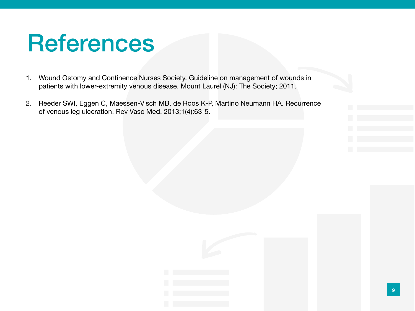## References

- 1. Wound Ostomy and Continence Nurses Society. Guideline on management of wounds in patients with lower-extremity venous disease. Mount Laurel (NJ): The Society; 2011.
- 2. Reeder SWI, Eggen C, Maessen-Visch MB, de Roos K-P, Martino Neumann HA. Recurrence of venous leg ulceration. Rev Vasc Med. 2013;1(4):63-5.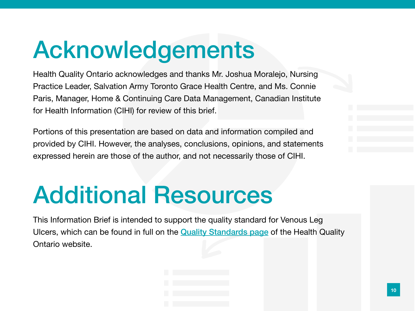# Acknowledgements

Health Quality Ontario acknowledges and thanks Mr. Joshua Moralejo, Nursing Practice Leader, Salvation Army Toronto Grace Health Centre, and Ms. Connie Paris, Manager, Home & Continuing Care Data Management, Canadian Institute for Health Information (CIHI) for review of this brief.

Portions of this presentation are based on data and information compiled and provided by CIHI. However, the analyses, conclusions, opinions, and statements expressed herein are those of the author, and not necessarily those of CIHI.

## Additional Resources

This Information Brief is intended to support the quality standard for Venous Leg Ulcers, which can be found in full on the [Quality Standards page](http://www.hqontario.ca/Evidence-to-Improve-Care/Quality-Standards) of the Health Quality Ontario website.